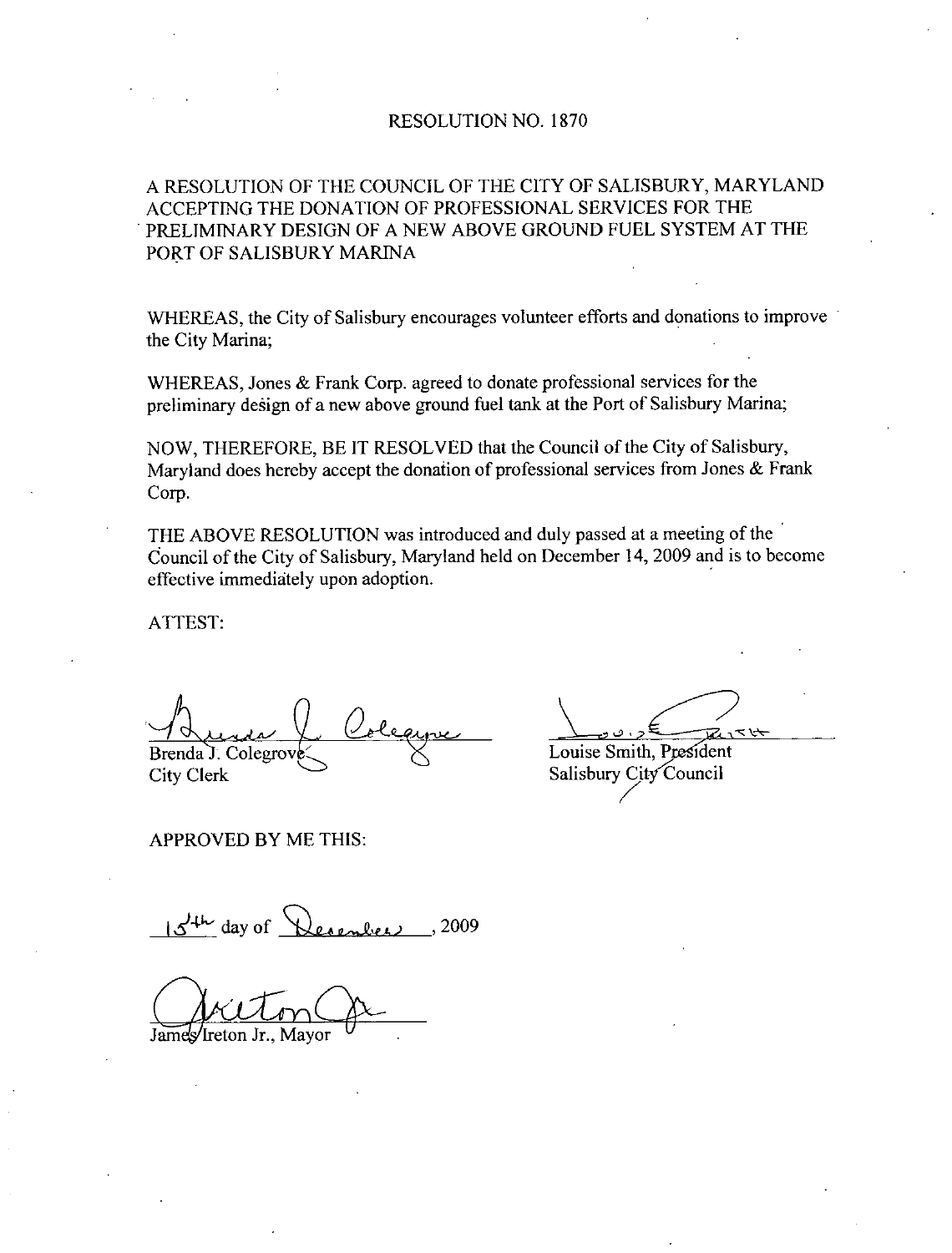## RESOLUTION NO. 1870

## A RESOLUTION OF THE COUNCIL OF THE CITY OF SALISBURY MARYLAND ACCEPTING THE DONATION OF PROFESSIONAL SERVICES FOR THE PRELIMINARY DESIGN OF A NEW ABOVE GROUND FUEL SYSTEM AT THE PORT OF SALISBURY MARINA

WHEREAS, the City of Salisbury encourages volunteer efforts and donations to improve the City Marina

WHEREAS, Jones  $&$  Frank Corp. agreed to donate professional services for the preliminary design of a new above ground fuel tank at the Port of Salisbury Marina;

NOW, THEREFORE, BE IT RESOLVED that the Council of the City of Salisbury, Maryland does hereby accept the donation of professional services from Jones  $&$  Frank Corp

THE ABOVE RESOLUTION was introduced and duly passed at a meeting of the Council of the City of Salisbury, Maryland held on December 14, 2009 and is to become effective immediately upon adoption

ATTEST

Brenda J. Colegrov City Clerk

APPROVED BY ME THIS

ر<br>س )<br><u>रास</u>

Louise Smith, President Salisbury City Council

 $15$ <sup>th</sup> day of Desember  $.2009$ 

James/Ireton Jr., Mayor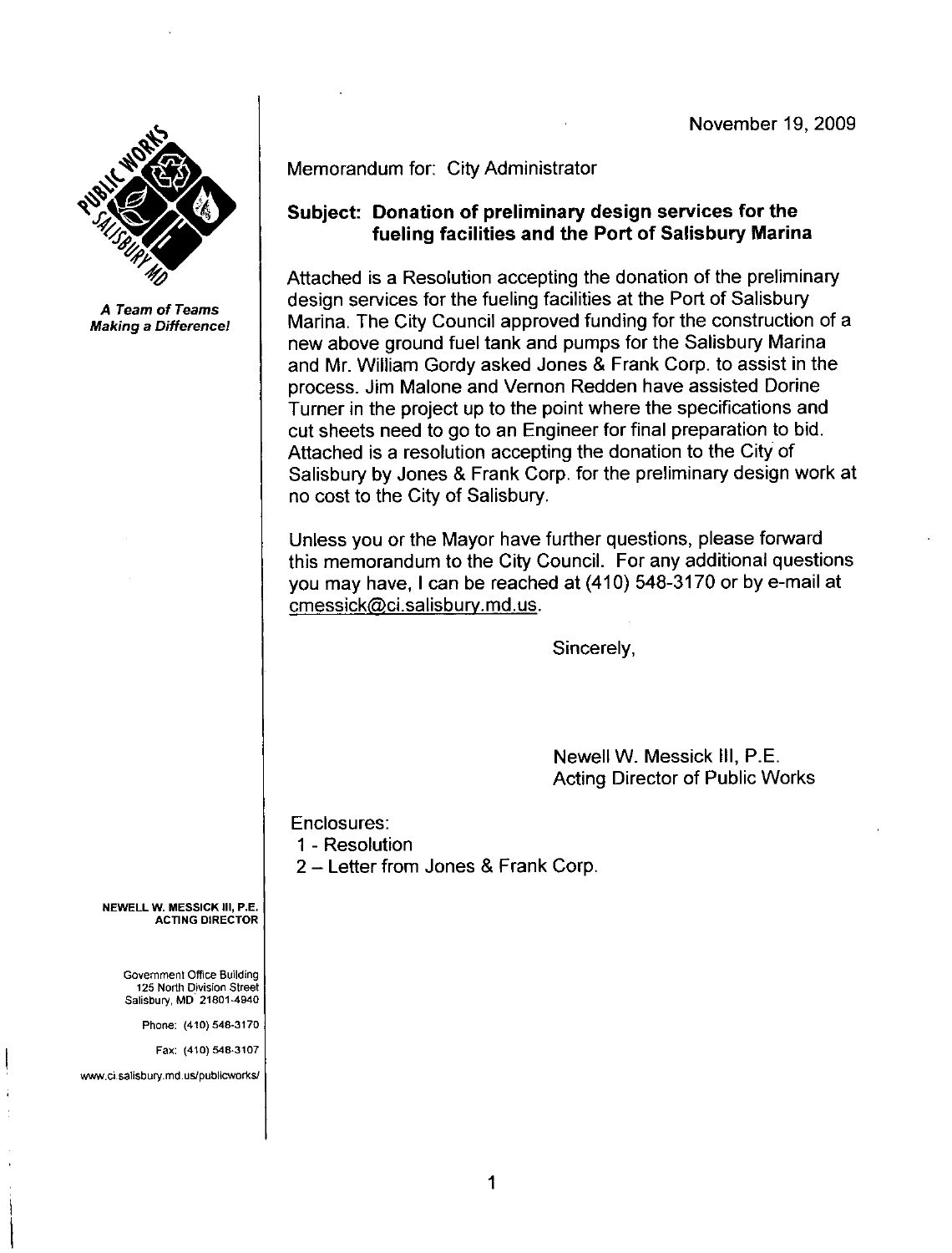

A Team of Teams Making a Difference

Memorandum for: City Administrator

## Subject: Donation of preliminary design services for the fueling facilities and the Port of Salisbury Marina

Attached is a Resolution accepting the donation of the preliminary design services for the fueling facilities at the Port of Salisbury Marina The City Council approved funding for the construction of <sup>a</sup> new above ground fuel tank and pumps for the Salisbury Marina and Mr. William Gordy asked Jones & Frank Corp. to assist in the process Jim Malone and Vernon Redden have assisted Dorine Turner in the project up to the point where the specifications and cut sheets need to go to an Engineer for final preparation to bid Attached is <sup>a</sup> resolution accepting the donation to the City of Salisbury by Jones & Frank Corp, for the preliminary design work at no cost to the City of Salisbury Attached is a Resolution accept<br>design services for the fueling fa<br>Marina. The City Council approv<br>new above ground fuel tank and<br>and Mr. William Gordy asked Jc<br>process. Jim Malone and Verno<br>Turner in the project up to the

Unless you or the Mayor have further questions, please forward this memorandum to the City Council. For any additional questions Unless you or the Mayor have further questions, please forward<br>this memorandum to the City Council. For any additional question<br>you may have, I can be reached at (410) 548-3170 or by e-mail at<br>cmessick@ci salisbury.md.us.

Sincerely,

Newell W. Messick III, P.E. Acting Director of Public Works

Enclosures

1 - Resolution

2 – Letter from Jones & Frank Corp.

NEWELL W. MESSICK III, P.E. ACTING DIRECTOR

> Government Office Building 125 North Division Street Salisbury, MD 21801-4940

> > Phone: (410) 548-3170<br>Fax: (410) 548-3107

Fax: (410) 548-3107<br>www.ci.salisbury.md.us/publicworks/